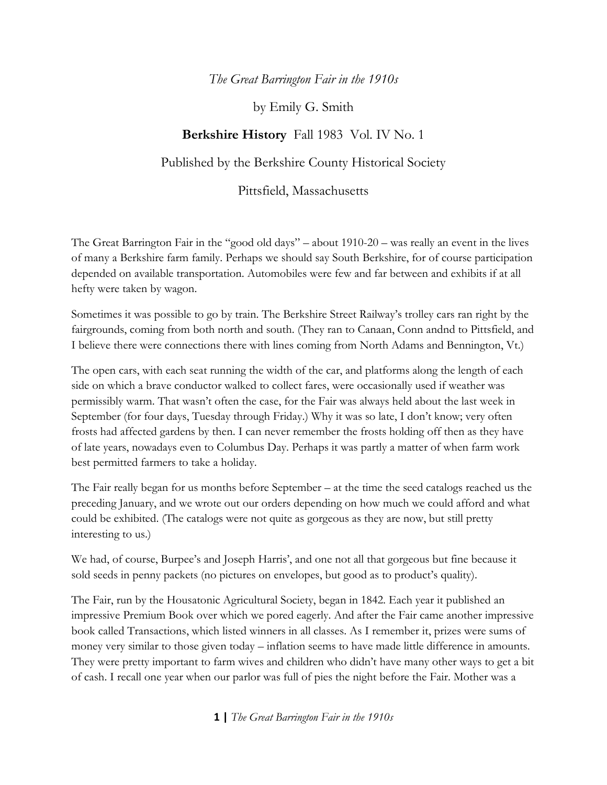## *The Great Barrington Fair in the 1910s*

by Emily G. Smith

## **Berkshire History** Fall 1983 Vol. IV No. 1

Published by the Berkshire County Historical Society

Pittsfield, Massachusetts

The Great Barrington Fair in the "good old days" – about 1910-20 – was really an event in the lives of many a Berkshire farm family. Perhaps we should say South Berkshire, for of course participation depended on available transportation. Automobiles were few and far between and exhibits if at all hefty were taken by wagon.

Sometimes it was possible to go by train. The Berkshire Street Railway's trolley cars ran right by the fairgrounds, coming from both north and south. (They ran to Canaan, Conn andnd to Pittsfield, and I believe there were connections there with lines coming from North Adams and Bennington, Vt.)

The open cars, with each seat running the width of the car, and platforms along the length of each side on which a brave conductor walked to collect fares, were occasionally used if weather was permissibly warm. That wasn't often the case, for the Fair was always held about the last week in September (for four days, Tuesday through Friday.) Why it was so late, I don't know; very often frosts had affected gardens by then. I can never remember the frosts holding off then as they have of late years, nowadays even to Columbus Day. Perhaps it was partly a matter of when farm work best permitted farmers to take a holiday.

The Fair really began for us months before September – at the time the seed catalogs reached us the preceding January, and we wrote out our orders depending on how much we could afford and what could be exhibited. (The catalogs were not quite as gorgeous as they are now, but still pretty interesting to us.)

We had, of course, Burpee's and Joseph Harris', and one not all that gorgeous but fine because it sold seeds in penny packets (no pictures on envelopes, but good as to product's quality).

The Fair, run by the Housatonic Agricultural Society, began in 1842. Each year it published an impressive Premium Book over which we pored eagerly. And after the Fair came another impressive book called Transactions, which listed winners in all classes. As I remember it, prizes were sums of money very similar to those given today – inflation seems to have made little difference in amounts. They were pretty important to farm wives and children who didn't have many other ways to get a bit of cash. I recall one year when our parlor was full of pies the night before the Fair. Mother was a

**1 |** *The Great Barrington Fair in the 1910s*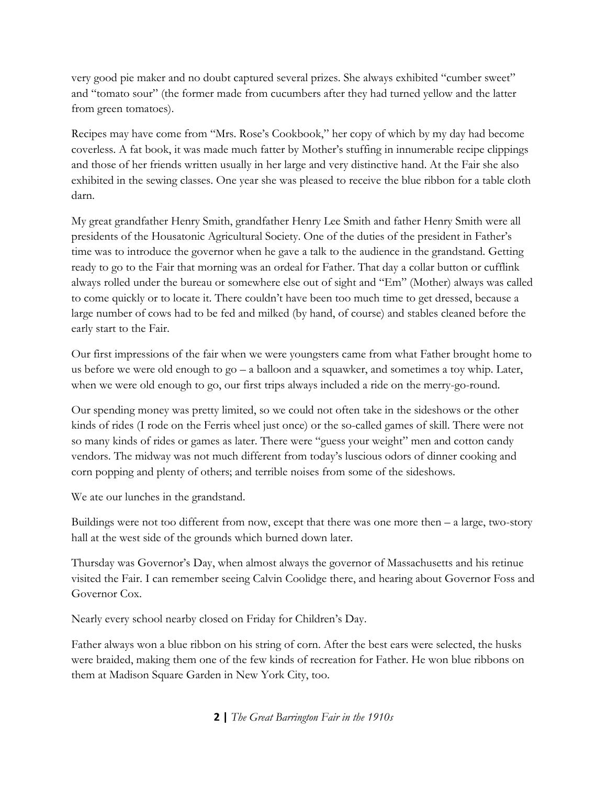very good pie maker and no doubt captured several prizes. She always exhibited "cumber sweet" and "tomato sour" (the former made from cucumbers after they had turned yellow and the latter from green tomatoes).

Recipes may have come from "Mrs. Rose's Cookbook," her copy of which by my day had become coverless. A fat book, it was made much fatter by Mother's stuffing in innumerable recipe clippings and those of her friends written usually in her large and very distinctive hand. At the Fair she also exhibited in the sewing classes. One year she was pleased to receive the blue ribbon for a table cloth darn.

My great grandfather Henry Smith, grandfather Henry Lee Smith and father Henry Smith were all presidents of the Housatonic Agricultural Society. One of the duties of the president in Father's time was to introduce the governor when he gave a talk to the audience in the grandstand. Getting ready to go to the Fair that morning was an ordeal for Father. That day a collar button or cufflink always rolled under the bureau or somewhere else out of sight and "Em" (Mother) always was called to come quickly or to locate it. There couldn't have been too much time to get dressed, because a large number of cows had to be fed and milked (by hand, of course) and stables cleaned before the early start to the Fair.

Our first impressions of the fair when we were youngsters came from what Father brought home to us before we were old enough to  $qo - a$  balloon and a squawker, and sometimes a toy whip. Later, when we were old enough to go, our first trips always included a ride on the merry-go-round.

Our spending money was pretty limited, so we could not often take in the sideshows or the other kinds of rides (I rode on the Ferris wheel just once) or the so-called games of skill. There were not so many kinds of rides or games as later. There were "guess your weight" men and cotton candy vendors. The midway was not much different from today's luscious odors of dinner cooking and corn popping and plenty of others; and terrible noises from some of the sideshows.

We ate our lunches in the grandstand.

Buildings were not too different from now, except that there was one more then – a large, two-story hall at the west side of the grounds which burned down later.

Thursday was Governor's Day, when almost always the governor of Massachusetts and his retinue visited the Fair. I can remember seeing Calvin Coolidge there, and hearing about Governor Foss and Governor Cox.

Nearly every school nearby closed on Friday for Children's Day.

Father always won a blue ribbon on his string of corn. After the best ears were selected, the husks were braided, making them one of the few kinds of recreation for Father. He won blue ribbons on them at Madison Square Garden in New York City, too.

**2 |** *The Great Barrington Fair in the 1910s*